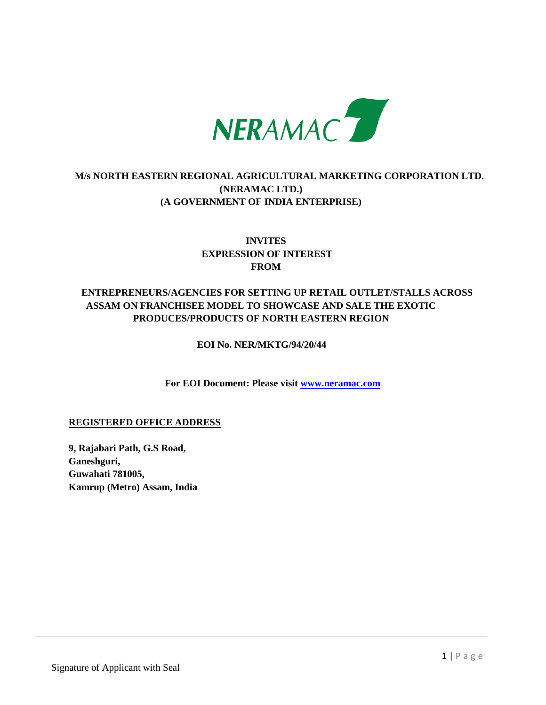

# **M/s NORTH EASTERN REGIONAL AGRICULTURAL MARKETING CORPORATION LTD. (NERAMAC LTD.) (A GOVERNMENT OF INDIA ENTERPRISE)**

# **INVITES EXPRESSION OF INTEREST FROM**

# **ENTREPRENEURS/AGENCIES FOR SETTING UP RETAIL OUTLET/STALLS ACROSS ASSAM ON FRANCHISEE MODEL TO SHOWCASE AND SALE THE EXOTIC PRODUCES/PRODUCTS OF NORTH EASTERN REGION**

### **EOI No. NER/MKTG/94/20/44**

 **For EOI Document: Please visit [www.neramac.com](http://www.neramac.com/)**

### **REGISTERED OFFICE ADDRESS**

**9, Rajabari Path, G.S Road, Ganeshguri, Guwahati 781005, Kamrup (Metro) Assam, India**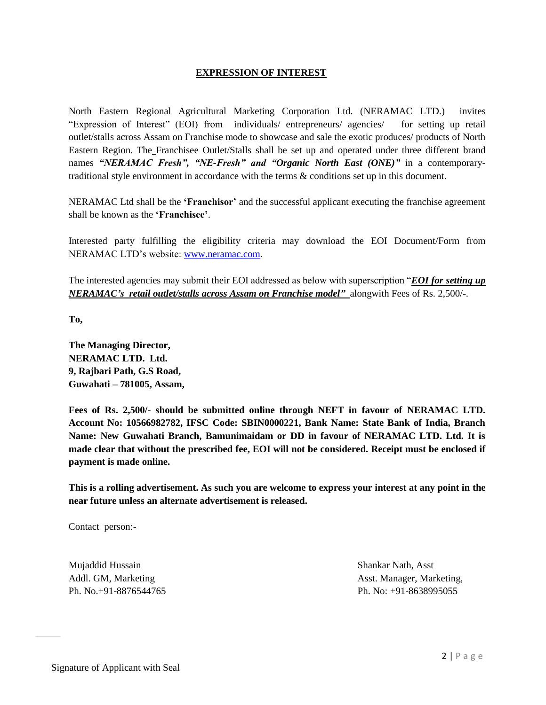#### **EXPRESSION OF INTEREST**

North Eastern Regional Agricultural Marketing Corporation Ltd. (NERAMAC LTD.) invites "Expression of Interest" (EOI) from individuals/ entrepreneurs/ agencies/ for setting up retail outlet/stalls across Assam on Franchise mode to showcase and sale the exotic produces/ products of North Eastern Region. The Franchisee Outlet/Stalls shall be set up and operated under three different brand names *"NERAMAC Fresh", "NE-Fresh" and "Organic North East (ONE)"* in a contemporarytraditional style environment in accordance with the terms & conditions set up in this document.

NERAMAC Ltd shall be the **"Franchisor"** and the successful applicant executing the franchise agreement shall be known as the **"Franchisee"**.

Interested party fulfilling the eligibility criteria may download the EOI Document/Form from NERAMAC LTD"s website: [www.neramac.com](http://www.neramac.com/).

The interested agencies may submit their EOI addressed as below with superscription "*EOI for setting up NERAMAC's retail outlet/stalls across Assam on Franchise model"* alongwith Fees of Rs. 2,500/-.

**To,**

**The Managing Director, NERAMAC LTD. Ltd. 9, Rajbari Path, G.S Road, Guwahati – 781005, Assam,** 

**Fees of Rs. 2,500/- should be submitted online through NEFT in favour of NERAMAC LTD. Account No: 10566982782, IFSC Code: SBIN0000221, Bank Name: State Bank of India, Branch Name: New Guwahati Branch, Bamunimaidam or DD in favour of NERAMAC LTD. Ltd. It is made clear that without the prescribed fee, EOI will not be considered. Receipt must be enclosed if payment is made online.**

**This is a rolling advertisement. As such you are welcome to express your interest at any point in the near future unless an alternate advertisement is released.**

Contact person:-

Mujaddid Hussain Shankar Nath, Asst

Addl. GM, Marketing **Asst. Manager, Marketing**, Asst. Manager, Marketing, Ph. No.+91-8876544765 Ph. No: +91-8638995055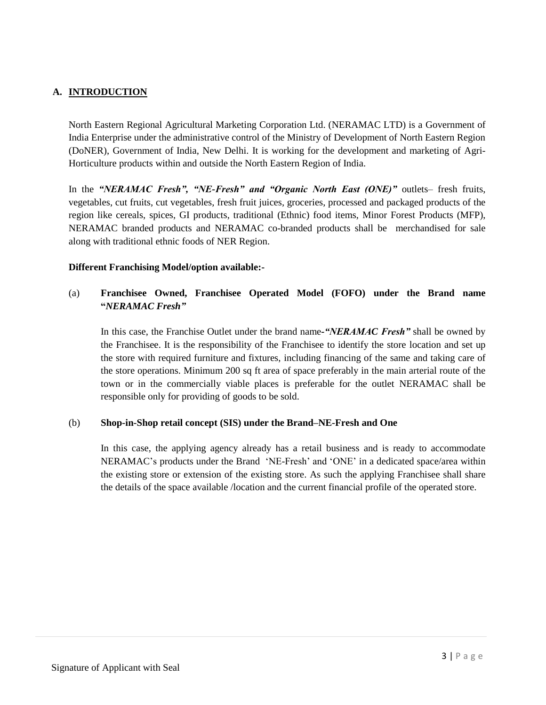## **A. INTRODUCTION**

North Eastern Regional Agricultural Marketing Corporation Ltd. (NERAMAC LTD) is a Government of India Enterprise under the administrative control of the Ministry of Development of North Eastern Region (DoNER), Government of India, New Delhi. It is working for the development and marketing of Agri-Horticulture products within and outside the North Eastern Region of India.

In the *"NERAMAC Fresh", "NE-Fresh" and "Organic North East (ONE)"* outlets– fresh fruits, vegetables, cut fruits, cut vegetables, fresh fruit juices, groceries, processed and packaged products of the region like cereals, spices, GI products, traditional (Ethnic) food items, Minor Forest Products (MFP), NERAMAC branded products and NERAMAC co-branded products shall be merchandised for sale along with traditional ethnic foods of NER Region.

#### **Different Franchising Model/option available:-**

## (a) **Franchisee Owned, Franchisee Operated Model (FOFO) under the Brand name "***NERAMAC Fresh"*

In this case, the Franchise Outlet under the brand name*-"NERAMAC Fresh"* shall be owned by the Franchisee. It is the responsibility of the Franchisee to identify the store location and set up the store with required furniture and fixtures, including financing of the same and taking care of the store operations. Minimum 200 sq ft area of space preferably in the main arterial route of the town or in the commercially viable places is preferable for the outlet NERAMAC shall be responsible only for providing of goods to be sold.

#### (b) **Shop-in-Shop retail concept (SIS) under the Brand–NE-Fresh and One**

In this case, the applying agency already has a retail business and is ready to accommodate NERAMAC"s products under the Brand "NE-Fresh" and "ONE" in a dedicated space/area within the existing store or extension of the existing store. As such the applying Franchisee shall share the details of the space available /location and the current financial profile of the operated store.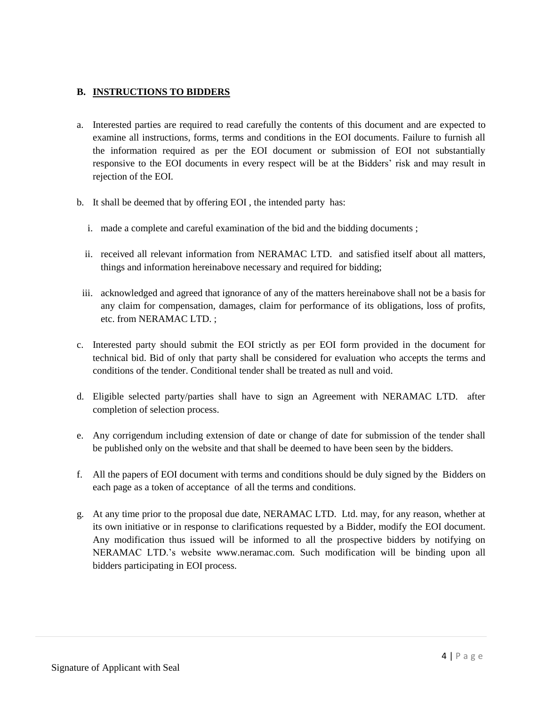### **B. INSTRUCTIONS TO BIDDERS**

- a. Interested parties are required to read carefully the contents of this document and are expected to examine all instructions, forms, terms and conditions in the EOI documents. Failure to furnish all the information required as per the EOI document or submission of EOI not substantially responsive to the EOI documents in every respect will be at the Bidders' risk and may result in rejection of the EOI.
- b. It shall be deemed that by offering EOI , the intended party has:
	- i. made a complete and careful examination of the bid and the bidding documents ;
	- ii. received all relevant information from NERAMAC LTD. and satisfied itself about all matters, things and information hereinabove necessary and required for bidding;
- iii. acknowledged and agreed that ignorance of any of the matters hereinabove shall not be a basis for any claim for compensation, damages, claim for performance of its obligations, loss of profits, etc. from NERAMAC LTD. ;
- c. Interested party should submit the EOI strictly as per EOI form provided in the document for technical bid. Bid of only that party shall be considered for evaluation who accepts the terms and conditions of the tender. Conditional tender shall be treated as null and void.
- d. Eligible selected party/parties shall have to sign an Agreement with NERAMAC LTD. after completion of selection process.
- e. Any corrigendum including extension of date or change of date for submission of the tender shall be published only on the website and that shall be deemed to have been seen by the bidders.
- f. All the papers of EOI document with terms and conditions should be duly signed by the Bidders on each page as a token of acceptance of all the terms and conditions.
- g. At any time prior to the proposal due date, NERAMAC LTD. Ltd. may, for any reason, whether at its own initiative or in response to clarifications requested by a Bidder, modify the EOI document. Any modification thus issued will be informed to all the prospective bidders by notifying on NERAMAC LTD."s website [www.neramac.com.](http://www.neramac.com/) Such modification will be binding upon all bidders participating in EOI process.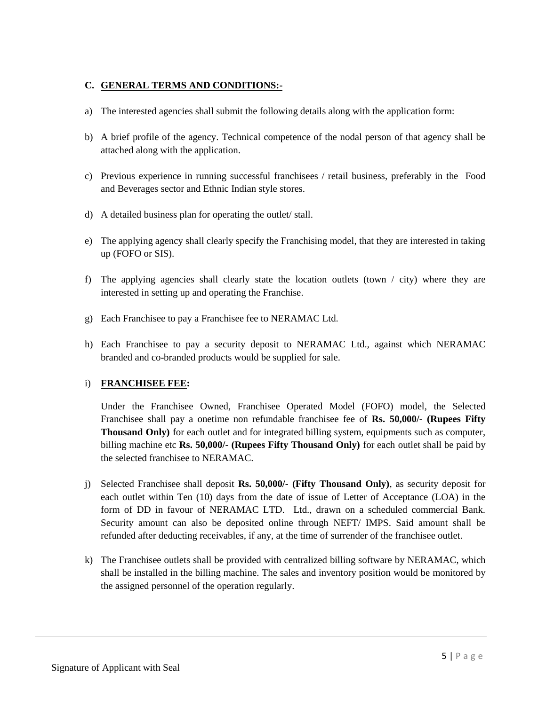## **C. GENERAL TERMS AND CONDITIONS:-**

- a) The interested agencies shall submit the following details along with the application form:
- b) A brief profile of the agency. Technical competence of the nodal person of that agency shall be attached along with the application.
- c) Previous experience in running successful franchisees / retail business, preferably in the Food and Beverages sector and Ethnic Indian style stores.
- d) A detailed business plan for operating the outlet/ stall.
- e) The applying agency shall clearly specify the Franchising model, that they are interested in taking up (FOFO or SIS).
- f) The applying agencies shall clearly state the location outlets (town / city) where they are interested in setting up and operating the Franchise.
- g) Each Franchisee to pay a Franchisee fee to NERAMAC Ltd.
- h) Each Franchisee to pay a security deposit to NERAMAC Ltd., against which NERAMAC branded and co-branded products would be supplied for sale.

### i) **FRANCHISEE FEE:**

Under the Franchisee Owned, Franchisee Operated Model (FOFO) model, the Selected Franchisee shall pay a onetime non refundable franchisee fee of **Rs. 50,000/- (Rupees Fifty Thousand Only)** for each outlet and for integrated billing system, equipments such as computer, billing machine etc **Rs. 50,000/- (Rupees Fifty Thousand Only)** for each outlet shall be paid by the selected franchisee to NERAMAC.

- j) Selected Franchisee shall deposit **Rs. 50,000/- (Fifty Thousand Only)**, as security deposit for each outlet within Ten (10) days from the date of issue of Letter of Acceptance (LOA) in the form of DD in favour of NERAMAC LTD. Ltd., drawn on a scheduled commercial Bank. Security amount can also be deposited online through NEFT/ IMPS. Said amount shall be refunded after deducting receivables, if any, at the time of surrender of the franchisee outlet.
- k) The Franchisee outlets shall be provided with centralized billing software by NERAMAC, which shall be installed in the billing machine. The sales and inventory position would be monitored by the assigned personnel of the operation regularly.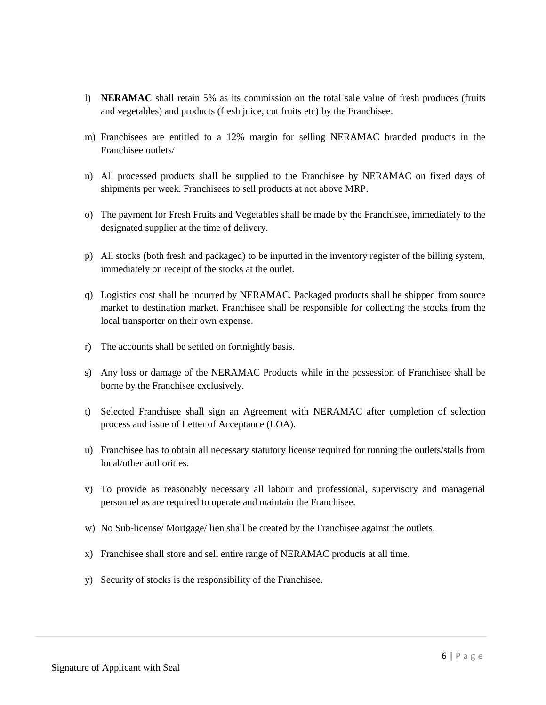- l) **NERAMAC** shall retain 5% as its commission on the total sale value of fresh produces (fruits and vegetables) and products (fresh juice, cut fruits etc) by the Franchisee.
- m) Franchisees are entitled to a 12% margin for selling NERAMAC branded products in the Franchisee outlets/
- n) All processed products shall be supplied to the Franchisee by NERAMAC on fixed days of shipments per week. Franchisees to sell products at not above MRP.
- o) The payment for Fresh Fruits and Vegetables shall be made by the Franchisee, immediately to the designated supplier at the time of delivery.
- p) All stocks (both fresh and packaged) to be inputted in the inventory register of the billing system, immediately on receipt of the stocks at the outlet.
- q) Logistics cost shall be incurred by NERAMAC. Packaged products shall be shipped from source market to destination market. Franchisee shall be responsible for collecting the stocks from the local transporter on their own expense.
- r) The accounts shall be settled on fortnightly basis.
- s) Any loss or damage of the NERAMAC Products while in the possession of Franchisee shall be borne by the Franchisee exclusively.
- t) Selected Franchisee shall sign an Agreement with NERAMAC after completion of selection process and issue of Letter of Acceptance (LOA).
- u) Franchisee has to obtain all necessary statutory license required for running the outlets/stalls from local/other authorities.
- v) To provide as reasonably necessary all labour and professional, supervisory and managerial personnel as are required to operate and maintain the Franchisee.
- w) No Sub-license/ Mortgage/ lien shall be created by the Franchisee against the outlets.
- x) Franchisee shall store and sell entire range of NERAMAC products at all time.
- y) Security of stocks is the responsibility of the Franchisee.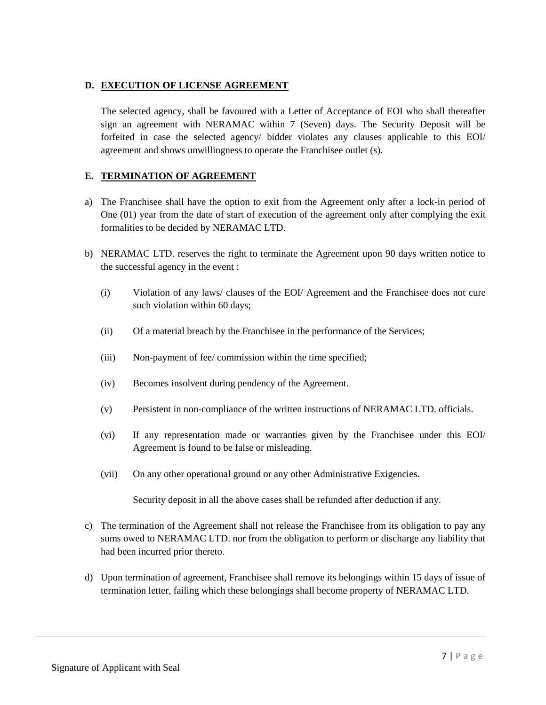### **D. EXECUTION OF LICENSE AGREEMENT**

The selected agency, shall be favoured with a Letter of Acceptance of EOI who shall thereafter sign an agreement with NERAMAC within 7 (Seven) days. The Security Deposit will be forfeited in case the selected agency/ bidder violates any clauses applicable to this EOI/ agreement and shows unwillingness to operate the Franchisee outlet (s).

### **E. TERMINATION OF AGREEMENT**

- a) The Franchisee shall have the option to exit from the Agreement only after a lock-in period of One (01) year from the date of start of execution of the agreement only after complying the exit formalities to be decided by NERAMAC LTD.
- b) NERAMAC LTD. reserves the right to terminate the Agreement upon 90 days written notice to the successful agency in the event :
	- (i) Violation of any laws/ clauses of the EOI/ Agreement and the Franchisee does not cure such violation within 60 days;
	- (ii) Of a material breach by the Franchisee in the performance of the Services;
	- (iii) Non-payment of fee/ commission within the time specified;
	- (iv) Becomes insolvent during pendency of the Agreement.
	- (v) Persistent in non-compliance of the written instructions of NERAMAC LTD. officials.
	- (vi) If any representation made or warranties given by the Franchisee under this EOI/ Agreement is found to be false or misleading.
	- (vii) On any other operational ground or any other Administrative Exigencies.

Security deposit in all the above cases shall be refunded after deduction if any.

- c) The termination of the Agreement shall not release the Franchisee from its obligation to pay any sums owed to NERAMAC LTD. nor from the obligation to perform or discharge any liability that had been incurred prior thereto.
- d) Upon termination of agreement, Franchisee shall remove its belongings within 15 days of issue of termination letter, failing which these belongings shall become property of NERAMAC LTD.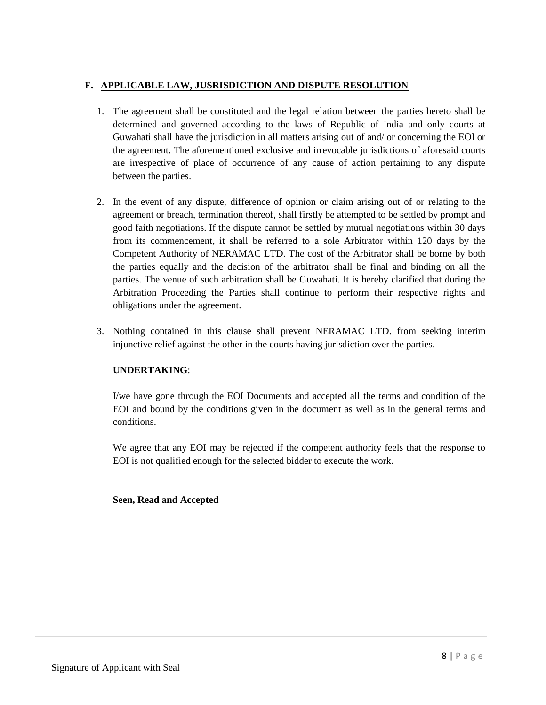## **F. APPLICABLE LAW, JUSRISDICTION AND DISPUTE RESOLUTION**

- 1. The agreement shall be constituted and the legal relation between the parties hereto shall be determined and governed according to the laws of Republic of India and only courts at Guwahati shall have the jurisdiction in all matters arising out of and/ or concerning the EOI or the agreement. The aforementioned exclusive and irrevocable jurisdictions of aforesaid courts are irrespective of place of occurrence of any cause of action pertaining to any dispute between the parties.
- 2. In the event of any dispute, difference of opinion or claim arising out of or relating to the agreement or breach, termination thereof, shall firstly be attempted to be settled by prompt and good faith negotiations. If the dispute cannot be settled by mutual negotiations within 30 days from its commencement, it shall be referred to a sole Arbitrator within 120 days by the Competent Authority of NERAMAC LTD. The cost of the Arbitrator shall be borne by both the parties equally and the decision of the arbitrator shall be final and binding on all the parties. The venue of such arbitration shall be Guwahati. It is hereby clarified that during the Arbitration Proceeding the Parties shall continue to perform their respective rights and obligations under the agreement.
- 3. Nothing contained in this clause shall prevent NERAMAC LTD. from seeking interim injunctive relief against the other in the courts having jurisdiction over the parties.

### **UNDERTAKING**:

I/we have gone through the EOI Documents and accepted all the terms and condition of the EOI and bound by the conditions given in the document as well as in the general terms and conditions.

We agree that any EOI may be rejected if the competent authority feels that the response to EOI is not qualified enough for the selected bidder to execute the work.

#### **Seen, Read and Accepted**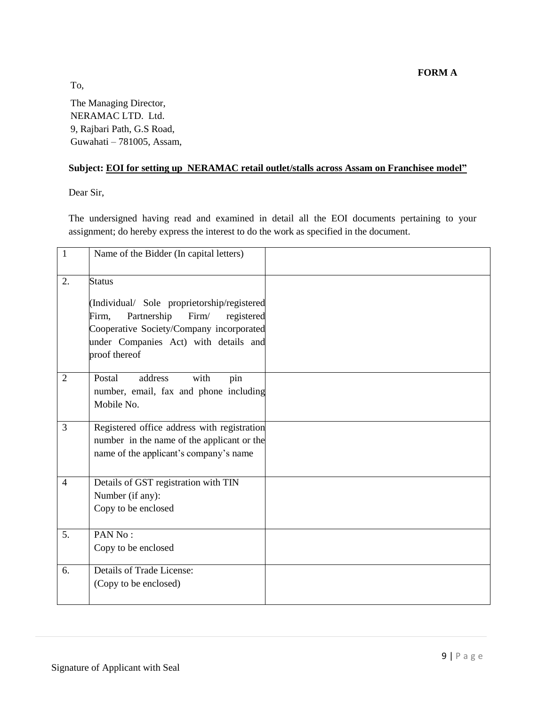**FORM A** 

To, The Managing Director, NERAMAC LTD. Ltd. 9, Rajbari Path, G.S Road, Guwahati – 781005, Assam,

# **Subject: EOI for setting up NERAMAC retail outlet/stalls across Assam on Franchisee model"**

Dear Sir,

The undersigned having read and examined in detail all the EOI documents pertaining to your assignment; do hereby express the interest to do the work as specified in the document.

| $\mathbf{1}$   | Name of the Bidder (In capital letters)                                                                                                                                                                           |  |
|----------------|-------------------------------------------------------------------------------------------------------------------------------------------------------------------------------------------------------------------|--|
| 2.             | <b>Status</b><br>(Individual/ Sole proprietorship/registered<br>Partnership<br>Firm/<br>Firm,<br>registered<br>Cooperative Society/Company incorporated<br>under Companies Act) with details and<br>proof thereof |  |
| 2              | Postal<br>address<br>with<br>pin<br>number, email, fax and phone including<br>Mobile No.                                                                                                                          |  |
| 3              | Registered office address with registration<br>number in the name of the applicant or the<br>name of the applicant's company's name                                                                               |  |
| $\overline{4}$ | Details of GST registration with TIN<br>Number (if any):<br>Copy to be enclosed                                                                                                                                   |  |
| 5.             | PAN No:<br>Copy to be enclosed                                                                                                                                                                                    |  |
| 6.             | Details of Trade License:<br>(Copy to be enclosed)                                                                                                                                                                |  |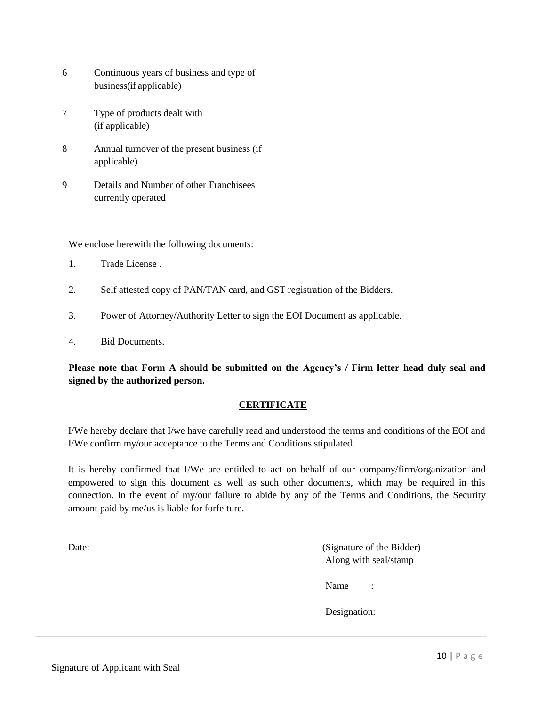| 6 | Continuous years of business and type of    |  |
|---|---------------------------------------------|--|
|   | business (if applicable)                    |  |
|   |                                             |  |
| 7 | Type of products dealt with                 |  |
|   | (if applicable)                             |  |
|   |                                             |  |
| 8 | Annual turnover of the present business (if |  |
|   | applicable)                                 |  |
|   |                                             |  |
| 9 | Details and Number of other Franchisees     |  |
|   | currently operated                          |  |
|   |                                             |  |
|   |                                             |  |

We enclose herewith the following documents:

- 1. Trade License .
- 2. Self attested copy of PAN/TAN card, and GST registration of the Bidders.
- 3. Power of Attorney/Authority Letter to sign the EOI Document as applicable.
- 4. Bid Documents.

**Please note that Form A should be submitted on the Agency"s / Firm letter head duly seal and signed by the authorized person.** 

#### **CERTIFICATE**

I/We hereby declare that I/we have carefully read and understood the terms and conditions of the EOI and I/We confirm my/our acceptance to the Terms and Conditions stipulated.

It is hereby confirmed that I/We are entitled to act on behalf of our company/firm/organization and empowered to sign this document as well as such other documents, which may be required in this connection. In the event of my/our failure to abide by any of the Terms and Conditions, the Security amount paid by me/us is liable for forfeiture.

Date: (Signature of the Bidder) Along with seal/stamp

Name :

Designation: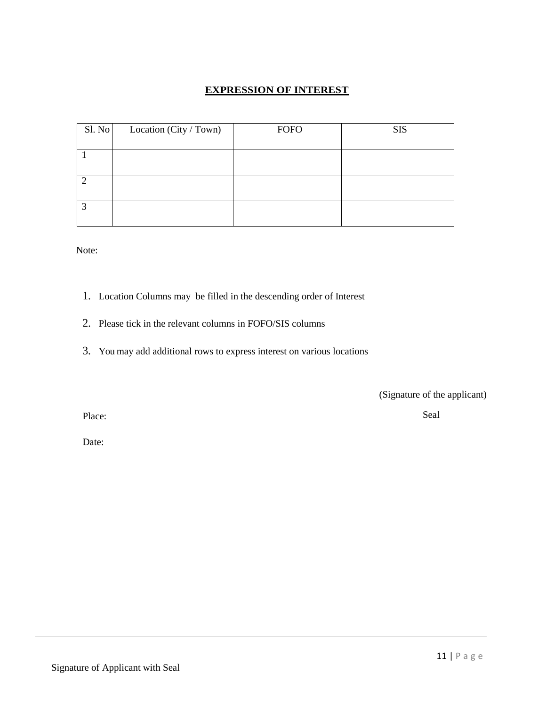## **EXPRESSION OF INTEREST**

| Sl. No | Location (City / Town) | <b>FOFO</b> | <b>SIS</b> |
|--------|------------------------|-------------|------------|
|        |                        |             |            |
|        |                        |             |            |
|        |                        |             |            |
|        |                        |             |            |
|        |                        |             |            |
|        |                        |             |            |
|        |                        |             |            |

Note:

- 1. Location Columns may be filled in the descending order of Interest
- 2. Please tick in the relevant columns in FOFO/SIS columns
- 3. You may add additional rows to express interest on various locations

(Signature of the applicant)

Place:

Seal

Date: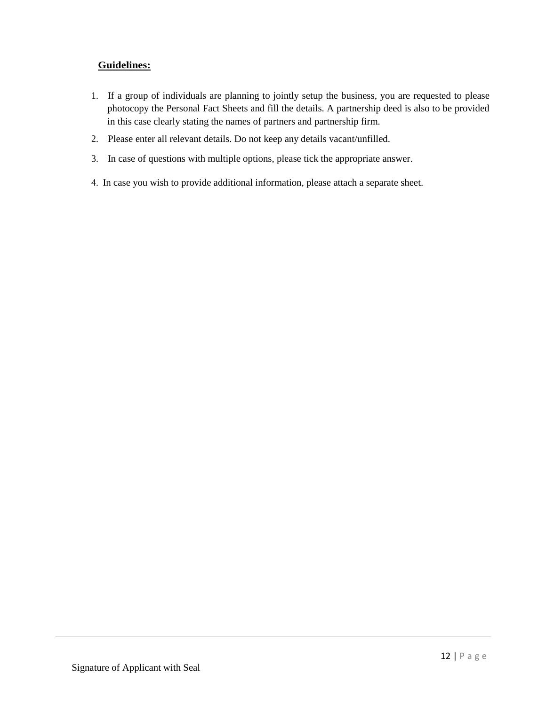## **Guidelines:**

- 1. If a group of individuals are planning to jointly setup the business, you are requested to please photocopy the Personal Fact Sheets and fill the details. A partnership deed is also to be provided in this case clearly stating the names of partners and partnership firm.
- 2. Please enter all relevant details. Do not keep any details vacant/unfilled.
- 3. In case of questions with multiple options, please tick the appropriate answer.
- 4. In case you wish to provide additional information, please attach a separate sheet.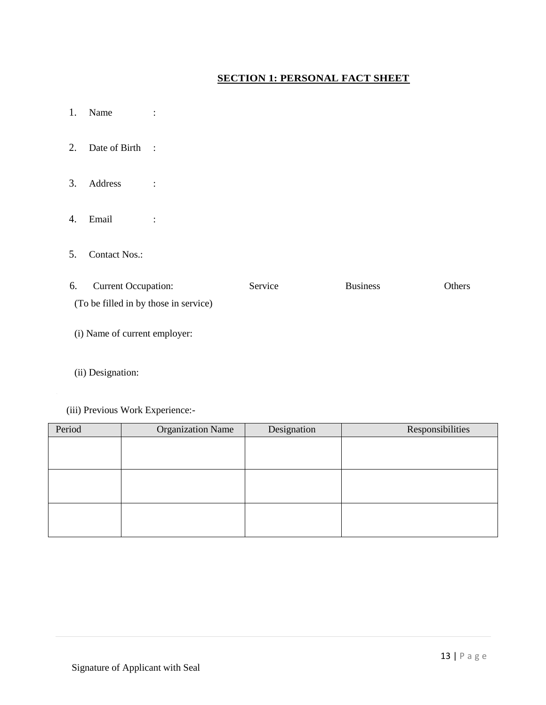# **SECTION 1: PERSONAL FACT SHEET**

- 1. Name :
- 2. Date of Birth :
- 3. Address :
- 4. Email :
- 5. Contact Nos.:

| 6. | <b>Current Occupation:</b>            | Service | <b>Business</b> | <b>Others</b> |
|----|---------------------------------------|---------|-----------------|---------------|
|    | (To be filled in by those in service) |         |                 |               |
|    |                                       |         |                 |               |

- (i) Name of current employer:
- (ii) Designation:
- (iii) Previous Work Experience:-

| Period | <b>Organization Name</b> | Designation | Responsibilities |
|--------|--------------------------|-------------|------------------|
|        |                          |             |                  |
|        |                          |             |                  |
|        |                          |             |                  |
|        |                          |             |                  |
|        |                          |             |                  |
|        |                          |             |                  |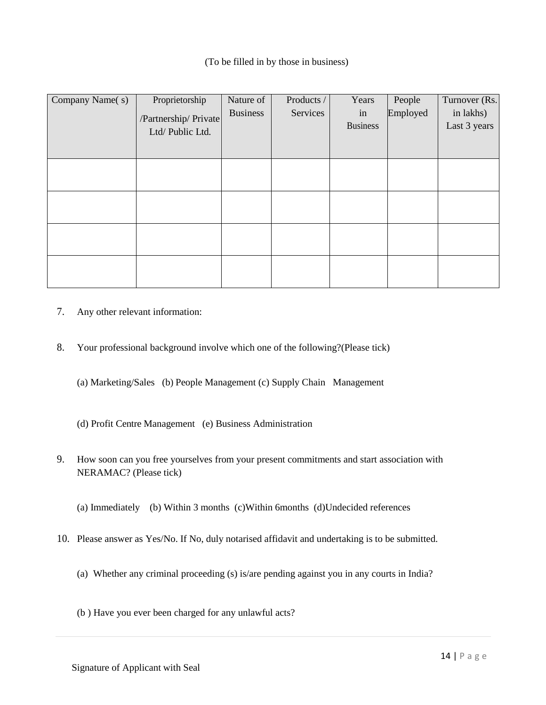### (To be filled in by those in business)

| Company Name(s) | Proprietorship        | Nature of       | Products / | Years           | People   | Turnover (Rs. |
|-----------------|-----------------------|-----------------|------------|-----------------|----------|---------------|
|                 | /Partnership/ Private | <b>Business</b> | Services   | in              | Employed | in lakhs)     |
|                 | Ltd/Public Ltd.       |                 |            | <b>Business</b> |          | Last 3 years  |
|                 |                       |                 |            |                 |          |               |
|                 |                       |                 |            |                 |          |               |
|                 |                       |                 |            |                 |          |               |
|                 |                       |                 |            |                 |          |               |
|                 |                       |                 |            |                 |          |               |
|                 |                       |                 |            |                 |          |               |
|                 |                       |                 |            |                 |          |               |
|                 |                       |                 |            |                 |          |               |
|                 |                       |                 |            |                 |          |               |
|                 |                       |                 |            |                 |          |               |
|                 |                       |                 |            |                 |          |               |
|                 |                       |                 |            |                 |          |               |

- 7. Any other relevant information:
- 8. Your professional background involve which one of the following?(Please tick)
	- (a) Marketing/Sales (b) People Management (c) Supply Chain Management
	- (d) Profit Centre Management (e) Business Administration
- 9. How soon can you free yourselves from your present commitments and start association with NERAMAC? (Please tick)
	- (a) Immediately (b) Within 3 months (c)Within 6months (d)Undecided references
- 10. Please answer as Yes/No. If No, duly notarised affidavit and undertaking is to be submitted.
	- (a) Whether any criminal proceeding (s) is/are pending against you in any courts in India?
	- (b ) Have you ever been charged for any unlawful acts?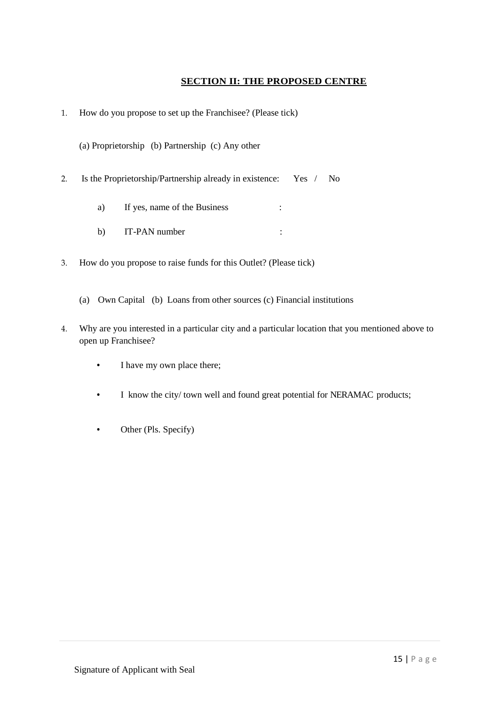## **SECTION II: THE PROPOSED CENTRE**

1. How do you propose to set up the Franchisee? (Please tick)

(a) Proprietorship (b) Partnership (c) Any other

- 2. Is the Proprietorship/Partnership already in existence: Yes / No
	- a) If yes, name of the Business :
	- b) IT-PAN number :
- 3. How do you propose to raise funds for this Outlet? (Please tick)
	- (a) Own Capital (b) Loans from other sources (c) Financial institutions
- 4. Why are you interested in a particular city and a particular location that you mentioned above to open up Franchisee?
	- I have my own place there;
	- I know the city/ town well and found great potential for NERAMAC products;
	- Other (Pls. Specify)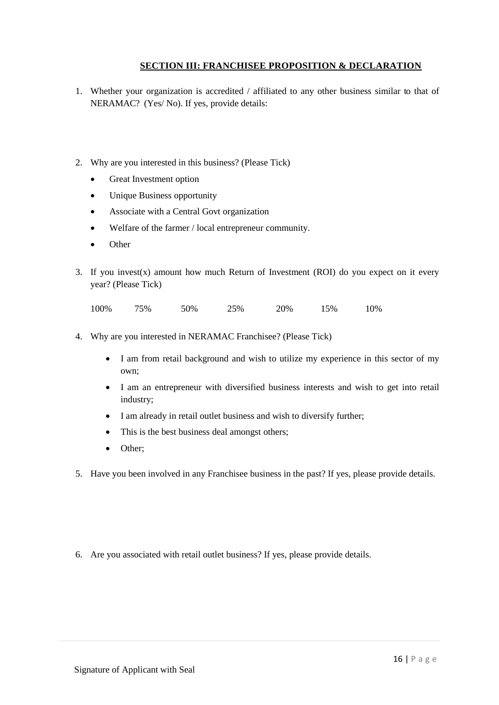## **SECTION III: FRANCHISEE PROPOSITION & DECLARATION**

- 1. Whether your organization is accredited / affiliated to any other business similar to that of NERAMAC? (Yes/ No). If yes, provide details:
- 2. Why are you interested in this business? (Please Tick)
	- Great Investment option
	- Unique Business opportunity
	- Associate with a Central Govt organization
	- Welfare of the farmer / local entrepreneur community.
	- Other
- 3. If you invest(x) amount how much Return of Investment (ROI) do you expect on it every year? (Please Tick)

100% 75% 50% 25% 20% 15% 10%

- 4. Why are you interested in NERAMAC Franchisee? (Please Tick)
	- I am from retail background and wish to utilize my experience in this sector of my own;
	- I am an entrepreneur with diversified business interests and wish to get into retail industry;
	- I am already in retail outlet business and wish to diversify further;
	- This is the best business deal amongst others;
	- Other;
- 5. Have you been involved in any Franchisee business in the past? If yes, please provide details.
- 6. Are you associated with retail outlet business? If yes, please provide details.